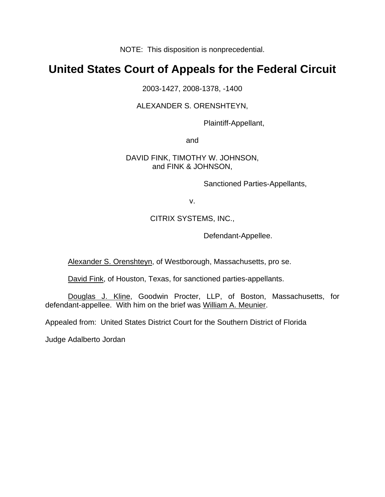NOTE: This disposition is nonprecedential.

# **United States Court of Appeals for the Federal Circuit**

2003-1427, 2008-1378, -1400

## ALEXANDER S. ORENSHTEYN,

Plaintiff-Appellant,

and

### DAVID FINK, TIMOTHY W. JOHNSON, and FINK & JOHNSON,

Sanctioned Parties-Appellants,

v.

## CITRIX SYSTEMS, INC.,

Defendant-Appellee.

Alexander S. Orenshteyn, of Westborough, Massachusetts, pro se.

David Fink, of Houston, Texas, for sanctioned parties-appellants.

Douglas J. Kline, Goodwin Procter, LLP, of Boston, Massachusetts, for defendant-appellee. With him on the brief was William A. Meunier.

Appealed from: United States District Court for the Southern District of Florida

Judge Adalberto Jordan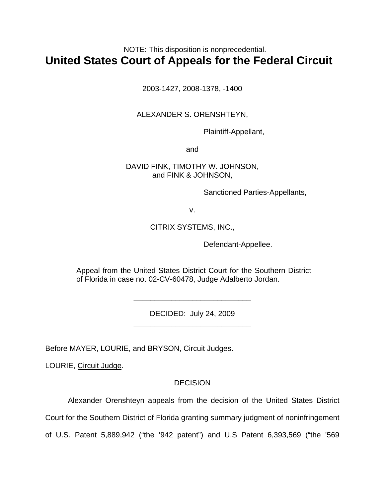## NOTE: This disposition is nonprecedential. **United States Court of Appeals for the Federal Circuit**

2003-1427, 2008-1378, -1400

## ALEXANDER S. ORENSHTEYN,

Plaintiff-Appellant,

and

## DAVID FINK, TIMOTHY W. JOHNSON, and FINK & JOHNSON,

Sanctioned Parties-Appellants,

v.

## CITRIX SYSTEMS, INC.,

Defendant-Appellee.

Appeal from the United States District Court for the Southern District of Florida in case no. 02-CV-60478, Judge Adalberto Jordan.

> DECIDED: July 24, 2009 \_\_\_\_\_\_\_\_\_\_\_\_\_\_\_\_\_\_\_\_\_\_\_\_\_\_\_\_

> \_\_\_\_\_\_\_\_\_\_\_\_\_\_\_\_\_\_\_\_\_\_\_\_\_\_\_\_

Before MAYER, LOURIE, and BRYSON, Circuit Judges.

LOURIE, Circuit Judge.

## **DECISION**

Alexander Orenshteyn appeals from the decision of the United States District

Court for the Southern District of Florida granting summary judgment of noninfringement

of U.S. Patent 5,889,942 ("the '942 patent") and U.S Patent 6,393,569 ("the '569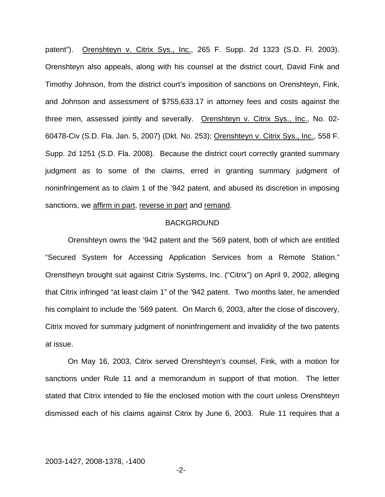patent"). Orenshteyn v. Citrix Sys., Inc., 265 F. Supp. 2d 1323 (S.D. Fl. 2003). Orenshteyn also appeals, along with his counsel at the district court, David Fink and Timothy Johnson, from the district court's imposition of sanctions on Orenshteyn, Fink, and Johnson and assessment of \$755,633.17 in attorney fees and costs against the three men, assessed jointly and severally. Orenshteyn v. Citrix Sys., Inc., No. 02- 60478-Civ (S.D. Fla. Jan. 5, 2007) (Dkt. No. 253); Orenshteyn v. Citrix Sys., Inc., 558 F. Supp. 2d 1251 (S.D. Fla. 2008). Because the district court correctly granted summary judgment as to some of the claims, erred in granting summary judgment of noninfringement as to claim 1 of the '942 patent, and abused its discretion in imposing sanctions, we affirm in part, reverse in part and remand.

#### BACKGROUND

 Orenshteyn owns the '942 patent and the '569 patent, both of which are entitled "Secured System for Accessing Application Services from a Remote Station." Orenstheyn brought suit against Citrix Systems, Inc. ("Citrix") on April 9, 2002, alleging that Citrix infringed "at least claim 1" of the '942 patent. Two months later, he amended his complaint to include the '569 patent. On March 6, 2003, after the close of discovery, Citrix moved for summary judgment of noninfringement and invalidity of the two patents at issue.

 On May 16, 2003, Citrix served Orenshteyn's counsel, Fink, with a motion for sanctions under Rule 11 and a memorandum in support of that motion. The letter stated that Citrix intended to file the enclosed motion with the court unless Orenshteyn dismissed each of his claims against Citrix by June 6, 2003. Rule 11 requires that a

-2-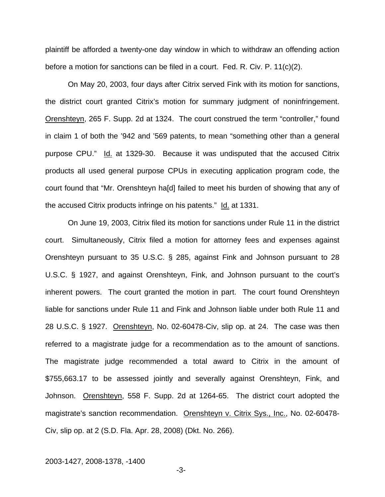plaintiff be afforded a twenty-one day window in which to withdraw an offending action before a motion for sanctions can be filed in a court. Fed. R. Civ. P. 11(c)(2).

On May 20, 2003, four days after Citrix served Fink with its motion for sanctions, the district court granted Citrix's motion for summary judgment of noninfringement. Orenshteyn, 265 F. Supp. 2d at 1324. The court construed the term "controller," found in claim 1 of both the '942 and '569 patents, to mean "something other than a general purpose CPU." Id. at 1329-30. Because it was undisputed that the accused Citrix products all used general purpose CPUs in executing application program code, the court found that "Mr. Orenshteyn ha[d] failed to meet his burden of showing that any of the accused Citrix products infringe on his patents." Id. at 1331.

 On June 19, 2003, Citrix filed its motion for sanctions under Rule 11 in the district court. Simultaneously, Citrix filed a motion for attorney fees and expenses against Orenshteyn pursuant to 35 U.S.C. § 285, against Fink and Johnson pursuant to 28 U.S.C. § 1927, and against Orenshteyn, Fink, and Johnson pursuant to the court's inherent powers. The court granted the motion in part. The court found Orenshteyn liable for sanctions under Rule 11 and Fink and Johnson liable under both Rule 11 and 28 U.S.C. § 1927. Orenshteyn, No. 02-60478-Civ, slip op. at 24. The case was then referred to a magistrate judge for a recommendation as to the amount of sanctions. The magistrate judge recommended a total award to Citrix in the amount of \$755,663.17 to be assessed jointly and severally against Orenshteyn, Fink, and Johnson. Orenshteyn, 558 F. Supp. 2d at 1264-65. The district court adopted the magistrate's sanction recommendation. Orenshteyn v. Citrix Sys., Inc., No. 02-60478-Civ, slip op. at 2 (S.D. Fla. Apr. 28, 2008) (Dkt. No. 266).

#### 2003-1427, 2008-1378, -1400

-3-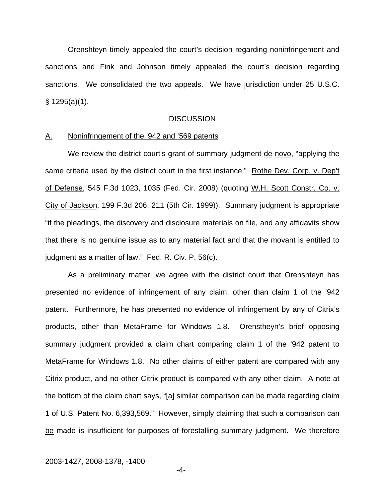Orenshteyn timely appealed the court's decision regarding noninfringement and sanctions and Fink and Johnson timely appealed the court's decision regarding sanctions. We consolidated the two appeals. We have jurisdiction under 25 U.S.C. § 1295(a)(1).

#### **DISCUSSION**

#### A. Noninfringement of the '942 and '569 patents

We review the district court's grant of summary judgment de novo, "applying the same criteria used by the district court in the first instance." Rothe Dev. Corp. v. Dep't of Defense, 545 F.3d 1023, 1035 (Fed. Cir. 2008) (quoting W.H. Scott Constr. Co. v. City of Jackson, 199 F.3d 206, 211 (5th Cir. 1999)). Summary judgment is appropriate "if the pleadings, the discovery and disclosure materials on file, and any affidavits show that there is no genuine issue as to any material fact and that the movant is entitled to judgment as a matter of law." Fed. R. Civ. P. 56(c).

As a preliminary matter, we agree with the district court that Orenshteyn has presented no evidence of infringement of any claim, other than claim 1 of the '942 patent. Furthermore, he has presented no evidence of infringement by any of Citrix's products, other than MetaFrame for Windows 1.8. Orenstheyn's brief opposing summary judgment provided a claim chart comparing claim 1 of the '942 patent to MetaFrame for Windows 1.8. No other claims of either patent are compared with any Citrix product, and no other Citrix product is compared with any other claim. A note at the bottom of the claim chart says, "[a] similar comparison can be made regarding claim 1 of U.S. Patent No. 6,393,569." However, simply claiming that such a comparison can be made is insufficient for purposes of forestalling summary judgment. We therefore

#### 2003-1427, 2008-1378, -1400

-4-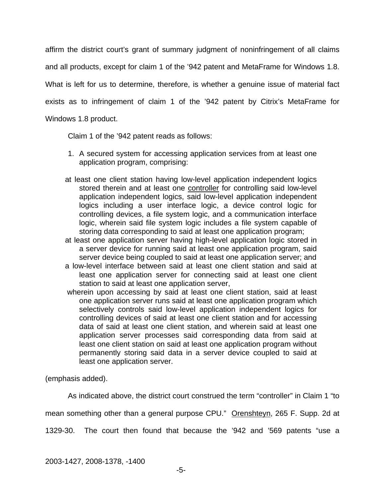affirm the district court's grant of summary judgment of noninfringement of all claims and all products, except for claim 1 of the '942 patent and MetaFrame for Windows 1.8. What is left for us to determine, therefore, is whether a genuine issue of material fact exists as to infringement of claim 1 of the '942 patent by Citrix's MetaFrame for Windows 1.8 product.

Claim 1 of the '942 patent reads as follows:

- 1. A secured system for accessing application services from at least one application program, comprising:
- at least one client station having low-level application independent logics stored therein and at least one controller for controlling said low-level application independent logics, said low-level application independent logics including a user interface logic, a device control logic for controlling devices, a file system logic, and a communication interface logic, wherein said file system logic includes a file system capable of storing data corresponding to said at least one application program;
- at least one application server having high-level application logic stored in a server device for running said at least one application program, said server device being coupled to said at least one application server; and
- a low-level interface between said at least one client station and said at least one application server for connecting said at least one client station to said at least one application server,
- wherein upon accessing by said at least one client station, said at least one application server runs said at least one application program which selectively controls said low-level application independent logics for controlling devices of said at least one client station and for accessing data of said at least one client station, and wherein said at least one application server processes said corresponding data from said at least one client station on said at least one application program without permanently storing said data in a server device coupled to said at least one application server.

(emphasis added).

As indicated above, the district court construed the term "controller" in Claim 1 "to mean something other than a general purpose CPU." Orenshteyn, 265 F. Supp. 2d at

1329-30. The court then found that because the '942 and '569 patents "use a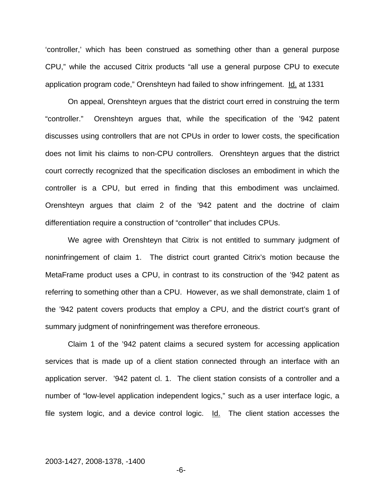'controller,' which has been construed as something other than a general purpose CPU," while the accused Citrix products "all use a general purpose CPU to execute application program code," Orenshteyn had failed to show infringement. Id. at 1331

On appeal, Orenshteyn argues that the district court erred in construing the term "controller." Orenshteyn argues that, while the specification of the '942 patent discusses using controllers that are not CPUs in order to lower costs, the specification does not limit his claims to non-CPU controllers. Orenshteyn argues that the district court correctly recognized that the specification discloses an embodiment in which the controller is a CPU, but erred in finding that this embodiment was unclaimed. Orenshteyn argues that claim 2 of the '942 patent and the doctrine of claim differentiation require a construction of "controller" that includes CPUs.

We agree with Orenshteyn that Citrix is not entitled to summary judgment of noninfringement of claim 1. The district court granted Citrix's motion because the MetaFrame product uses a CPU, in contrast to its construction of the '942 patent as referring to something other than a CPU. However, as we shall demonstrate, claim 1 of the '942 patent covers products that employ a CPU, and the district court's grant of summary judgment of noninfringement was therefore erroneous.

Claim 1 of the '942 patent claims a secured system for accessing application services that is made up of a client station connected through an interface with an application server. '942 patent cl. 1. The client station consists of a controller and a number of "low-level application independent logics," such as a user interface logic, a file system logic, and a device control logic. Id. The client station accesses the

#### 2003-1427, 2008-1378, -1400

-6-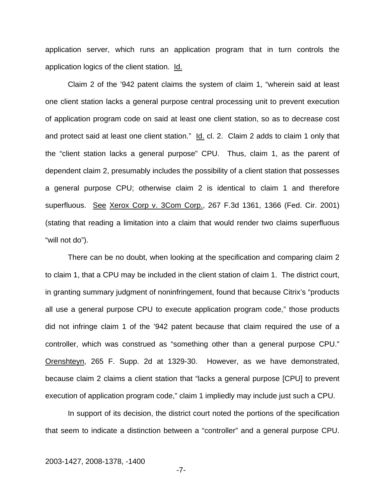application server, which runs an application program that in turn controls the application logics of the client station. Id.

Claim 2 of the '942 patent claims the system of claim 1, "wherein said at least one client station lacks a general purpose central processing unit to prevent execution of application program code on said at least one client station, so as to decrease cost and protect said at least one client station." Id. cl. 2. Claim 2 adds to claim 1 only that the "client station lacks a general purpose" CPU. Thus, claim 1, as the parent of dependent claim 2, presumably includes the possibility of a client station that possesses a general purpose CPU; otherwise claim 2 is identical to claim 1 and therefore superfluous. See Xerox Corp v. 3Com Corp., 267 F.3d 1361, 1366 (Fed. Cir. 2001) (stating that reading a limitation into a claim that would render two claims superfluous "will not do").

There can be no doubt, when looking at the specification and comparing claim 2 to claim 1, that a CPU may be included in the client station of claim 1. The district court, in granting summary judgment of noninfringement, found that because Citrix's "products all use a general purpose CPU to execute application program code," those products did not infringe claim 1 of the '942 patent because that claim required the use of a controller, which was construed as "something other than a general purpose CPU." Orenshteyn, 265 F. Supp. 2d at 1329-30. However, as we have demonstrated, because claim 2 claims a client station that "lacks a general purpose [CPU] to prevent execution of application program code," claim 1 impliedly may include just such a CPU.

In support of its decision, the district court noted the portions of the specification that seem to indicate a distinction between a "controller" and a general purpose CPU.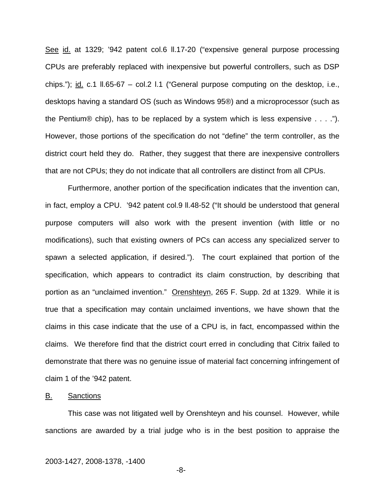See id. at 1329; '942 patent col.6 ll.17-20 ("expensive general purpose processing CPUs are preferably replaced with inexpensive but powerful controllers, such as DSP chips."); id. c.1  $\parallel$ .65-67 – col.2 l.1 ("General purpose computing on the desktop, i.e., desktops having a standard OS (such as Windows 95®) and a microprocessor (such as the Pentium® chip), has to be replaced by a system which is less expensive . . . ."). However, those portions of the specification do not "define" the term controller, as the district court held they do. Rather, they suggest that there are inexpensive controllers that are not CPUs; they do not indicate that all controllers are distinct from all CPUs.

Furthermore, another portion of the specification indicates that the invention can, in fact, employ a CPU. '942 patent col.9 ll.48-52 ("It should be understood that general purpose computers will also work with the present invention (with little or no modifications), such that existing owners of PCs can access any specialized server to spawn a selected application, if desired."). The court explained that portion of the specification, which appears to contradict its claim construction, by describing that portion as an "unclaimed invention." Orenshteyn, 265 F. Supp. 2d at 1329. While it is true that a specification may contain unclaimed inventions, we have shown that the claims in this case indicate that the use of a CPU is, in fact, encompassed within the claims. We therefore find that the district court erred in concluding that Citrix failed to demonstrate that there was no genuine issue of material fact concerning infringement of claim 1 of the '942 patent.

#### B. Sanctions

 This case was not litigated well by Orenshteyn and his counsel. However, while sanctions are awarded by a trial judge who is in the best position to appraise the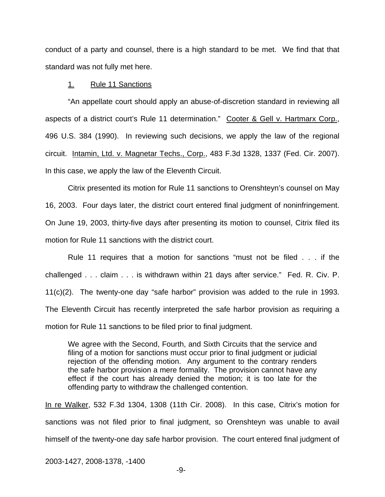conduct of a party and counsel, there is a high standard to be met. We find that that standard was not fully met here.

#### 1. Rule 11 Sanctions

 "An appellate court should apply an abuse-of-discretion standard in reviewing all aspects of a district court's Rule 11 determination." Cooter & Gell v. Hartmarx Corp., 496 U.S. 384 (1990). In reviewing such decisions, we apply the law of the regional circuit. Intamin, Ltd. v. Magnetar Techs., Corp., 483 F.3d 1328, 1337 (Fed. Cir. 2007). In this case, we apply the law of the Eleventh Circuit.

 Citrix presented its motion for Rule 11 sanctions to Orenshteyn's counsel on May 16, 2003. Four days later, the district court entered final judgment of noninfringement. On June 19, 2003, thirty-five days after presenting its motion to counsel, Citrix filed its motion for Rule 11 sanctions with the district court.

 Rule 11 requires that a motion for sanctions "must not be filed . . . if the challenged . . . claim . . . is withdrawn within 21 days after service." Fed. R. Civ. P. 11(c)(2). The twenty-one day "safe harbor" provision was added to the rule in 1993. The Eleventh Circuit has recently interpreted the safe harbor provision as requiring a motion for Rule 11 sanctions to be filed prior to final judgment.

We agree with the Second, Fourth, and Sixth Circuits that the service and filing of a motion for sanctions must occur prior to final judgment or judicial rejection of the offending motion. Any argument to the contrary renders the safe harbor provision a mere formality. The provision cannot have any effect if the court has already denied the motion; it is too late for the offending party to withdraw the challenged contention.

In re Walker, 532 F.3d 1304, 1308 (11th Cir. 2008). In this case, Citrix's motion for sanctions was not filed prior to final judgment, so Orenshteyn was unable to avail himself of the twenty-one day safe harbor provision. The court entered final judgment of

2003-1427, 2008-1378, -1400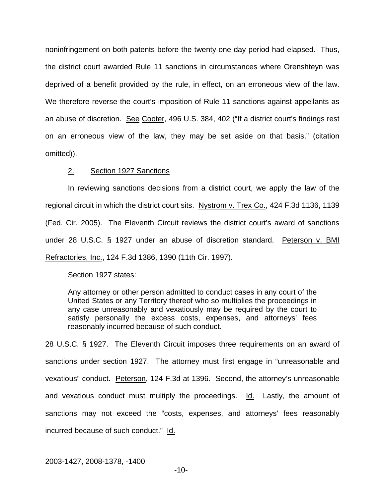noninfringement on both patents before the twenty-one day period had elapsed. Thus, the district court awarded Rule 11 sanctions in circumstances where Orenshteyn was deprived of a benefit provided by the rule, in effect, on an erroneous view of the law. We therefore reverse the court's imposition of Rule 11 sanctions against appellants as an abuse of discretion. See Cooter, 496 U.S. 384, 402 ("If a district court's findings rest on an erroneous view of the law, they may be set aside on that basis." (citation omitted)).

#### 2. Section 1927 Sanctions

 In reviewing sanctions decisions from a district court, we apply the law of the regional circuit in which the district court sits. Nystrom v. Trex Co., 424 F.3d 1136, 1139 (Fed. Cir. 2005). The Eleventh Circuit reviews the district court's award of sanctions under 28 U.S.C. § 1927 under an abuse of discretion standard. Peterson v. BMI Refractories, Inc., 124 F.3d 1386, 1390 (11th Cir. 1997).

Section 1927 states:

Any attorney or other person admitted to conduct cases in any court of the United States or any Territory thereof who so multiplies the proceedings in any case unreasonably and vexatiously may be required by the court to satisfy personally the excess costs, expenses, and attorneys' fees reasonably incurred because of such conduct.

28 U.S.C. § 1927. The Eleventh Circuit imposes three requirements on an award of sanctions under section 1927. The attorney must first engage in "unreasonable and vexatious" conduct. Peterson, 124 F.3d at 1396. Second, the attorney's unreasonable and vexatious conduct must multiply the proceedings. Id. Lastly, the amount of sanctions may not exceed the "costs, expenses, and attorneys' fees reasonably incurred because of such conduct." Id.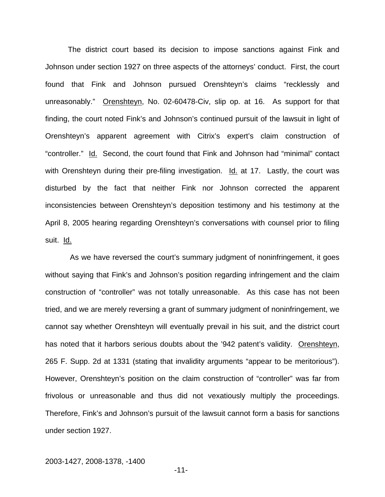The district court based its decision to impose sanctions against Fink and Johnson under section 1927 on three aspects of the attorneys' conduct. First, the court found that Fink and Johnson pursued Orenshteyn's claims "recklessly and unreasonably." Orenshteyn, No. 02-60478-Civ, slip op. at 16. As support for that finding, the court noted Fink's and Johnson's continued pursuit of the lawsuit in light of Orenshteyn's apparent agreement with Citrix's expert's claim construction of "controller." Id. Second, the court found that Fink and Johnson had "minimal" contact with Orenshteyn during their pre-filing investigation. Id. at 17. Lastly, the court was disturbed by the fact that neither Fink nor Johnson corrected the apparent inconsistencies between Orenshteyn's deposition testimony and his testimony at the April 8, 2005 hearing regarding Orenshteyn's conversations with counsel prior to filing suit. Id.

 As we have reversed the court's summary judgment of noninfringement, it goes without saying that Fink's and Johnson's position regarding infringement and the claim construction of "controller" was not totally unreasonable. As this case has not been tried, and we are merely reversing a grant of summary judgment of noninfringement, we cannot say whether Orenshteyn will eventually prevail in his suit, and the district court has noted that it harbors serious doubts about the '942 patent's validity. Orenshteyn, 265 F. Supp. 2d at 1331 (stating that invalidity arguments "appear to be meritorious"). However, Orenshteyn's position on the claim construction of "controller" was far from frivolous or unreasonable and thus did not vexatiously multiply the proceedings. Therefore, Fink's and Johnson's pursuit of the lawsuit cannot form a basis for sanctions under section 1927.

#### 2003-1427, 2008-1378, -1400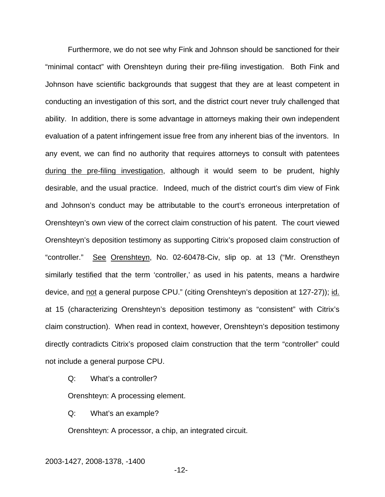Furthermore, we do not see why Fink and Johnson should be sanctioned for their "minimal contact" with Orenshteyn during their pre-filing investigation. Both Fink and Johnson have scientific backgrounds that suggest that they are at least competent in conducting an investigation of this sort, and the district court never truly challenged that ability. In addition, there is some advantage in attorneys making their own independent evaluation of a patent infringement issue free from any inherent bias of the inventors. In any event, we can find no authority that requires attorneys to consult with patentees during the pre-filing investigation, although it would seem to be prudent, highly desirable, and the usual practice. Indeed, much of the district court's dim view of Fink and Johnson's conduct may be attributable to the court's erroneous interpretation of Orenshteyn's own view of the correct claim construction of his patent. The court viewed Orenshteyn's deposition testimony as supporting Citrix's proposed claim construction of "controller." See Orenshteyn, No. 02-60478-Civ, slip op. at 13 ("Mr. Orenstheyn similarly testified that the term 'controller,' as used in his patents, means a hardwire device, and not a general purpose CPU." (citing Orenshteyn's deposition at 127-27)); id. at 15 (characterizing Orenshteyn's deposition testimony as "consistent" with Citrix's claim construction). When read in context, however, Orenshteyn's deposition testimony directly contradicts Citrix's proposed claim construction that the term "controller" could not include a general purpose CPU.

Q: What's a controller?

Orenshteyn: A processing element.

Q: What's an example?

Orenshteyn: A processor, a chip, an integrated circuit.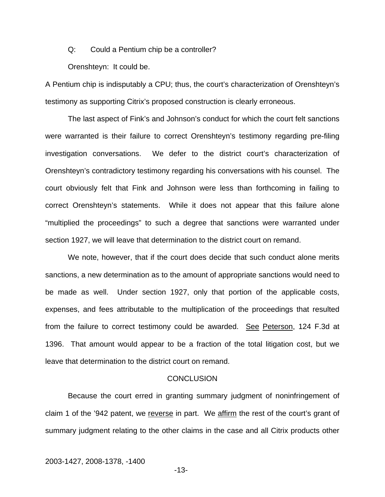Q: Could a Pentium chip be a controller?

Orenshteyn: It could be.

A Pentium chip is indisputably a CPU; thus, the court's characterization of Orenshteyn's testimony as supporting Citrix's proposed construction is clearly erroneous.

 The last aspect of Fink's and Johnson's conduct for which the court felt sanctions were warranted is their failure to correct Orenshteyn's testimony regarding pre-filing investigation conversations. We defer to the district court's characterization of Orenshteyn's contradictory testimony regarding his conversations with his counsel. The court obviously felt that Fink and Johnson were less than forthcoming in failing to correct Orenshteyn's statements. While it does not appear that this failure alone "multiplied the proceedings" to such a degree that sanctions were warranted under section 1927, we will leave that determination to the district court on remand.

We note, however, that if the court does decide that such conduct alone merits sanctions, a new determination as to the amount of appropriate sanctions would need to be made as well. Under section 1927, only that portion of the applicable costs, expenses, and fees attributable to the multiplication of the proceedings that resulted from the failure to correct testimony could be awarded. See Peterson, 124 F.3d at 1396. That amount would appear to be a fraction of the total litigation cost, but we leave that determination to the district court on remand.

#### **CONCLUSION**

 Because the court erred in granting summary judgment of noninfringement of claim 1 of the '942 patent, we reverse in part. We affirm the rest of the court's grant of summary judgment relating to the other claims in the case and all Citrix products other